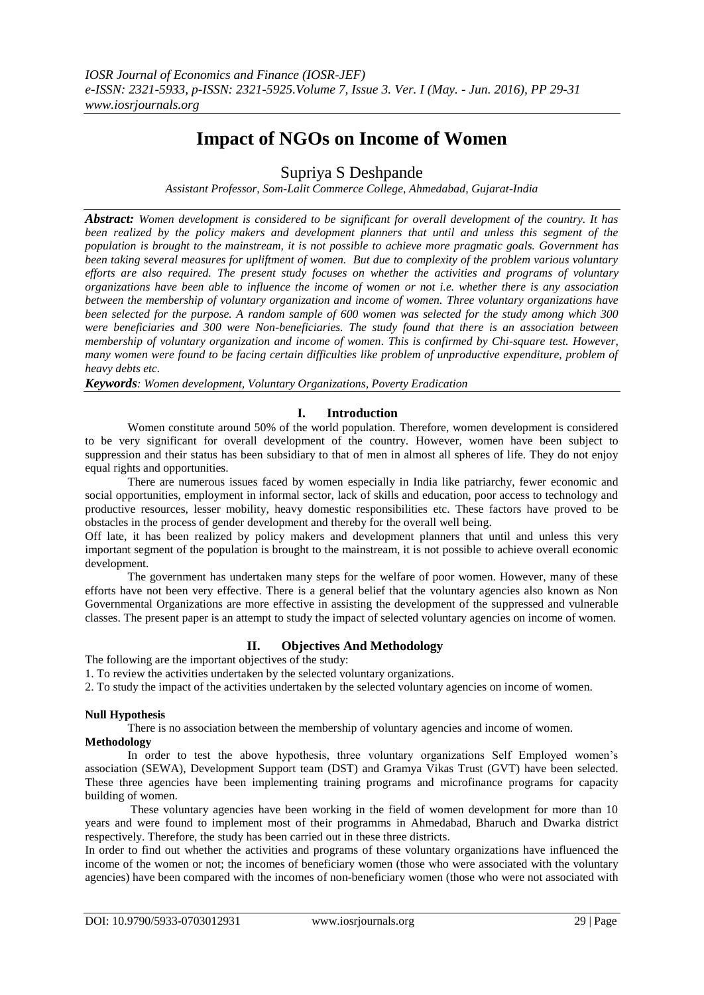# **Impact of NGOs on Income of Women**

Supriya S Deshpande

*Assistant Professor, Som-Lalit Commerce College, Ahmedabad, Gujarat-India*

*Abstract: Women development is considered to be significant for overall development of the country. It has been realized by the policy makers and development planners that until and unless this segment of the population is brought to the mainstream, it is not possible to achieve more pragmatic goals. Government has been taking several measures for upliftment of women. But due to complexity of the problem various voluntary efforts are also required. The present study focuses on whether the activities and programs of voluntary organizations have been able to influence the income of women or not i.e. whether there is any association between the membership of voluntary organization and income of women. Three voluntary organizations have been selected for the purpose. A random sample of 600 women was selected for the study among which 300 were beneficiaries and 300 were Non-beneficiaries. The study found that there is an association between membership of voluntary organization and income of women. This is confirmed by Chi-square test. However, many women were found to be facing certain difficulties like problem of unproductive expenditure, problem of heavy debts etc.*

*Keywords: Women development, Voluntary Organizations, Poverty Eradication*

# **I. Introduction**

Women constitute around 50% of the world population. Therefore, women development is considered to be very significant for overall development of the country. However, women have been subject to suppression and their status has been subsidiary to that of men in almost all spheres of life. They do not enjoy equal rights and opportunities.

There are numerous issues faced by women especially in India like patriarchy, fewer economic and social opportunities, employment in informal sector, lack of skills and education, poor access to technology and productive resources, lesser mobility, heavy domestic responsibilities etc. These factors have proved to be obstacles in the process of gender development and thereby for the overall well being.

Off late, it has been realized by policy makers and development planners that until and unless this very important segment of the population is brought to the mainstream, it is not possible to achieve overall economic development.

The government has undertaken many steps for the welfare of poor women. However, many of these efforts have not been very effective. There is a general belief that the voluntary agencies also known as Non Governmental Organizations are more effective in assisting the development of the suppressed and vulnerable classes. The present paper is an attempt to study the impact of selected voluntary agencies on income of women.

# **II. Objectives And Methodology**

The following are the important objectives of the study:

1. To review the activities undertaken by the selected voluntary organizations.

2. To study the impact of the activities undertaken by the selected voluntary agencies on income of women.

# **Null Hypothesis**

There is no association between the membership of voluntary agencies and income of women.

#### **Methodology**

In order to test the above hypothesis, three voluntary organizations Self Employed women's association (SEWA), Development Support team (DST) and Gramya Vikas Trust (GVT) have been selected. These three agencies have been implementing training programs and microfinance programs for capacity building of women.

These voluntary agencies have been working in the field of women development for more than 10 years and were found to implement most of their programms in Ahmedabad, Bharuch and Dwarka district respectively. Therefore, the study has been carried out in these three districts.

In order to find out whether the activities and programs of these voluntary organizations have influenced the income of the women or not; the incomes of beneficiary women (those who were associated with the voluntary agencies) have been compared with the incomes of non-beneficiary women (those who were not associated with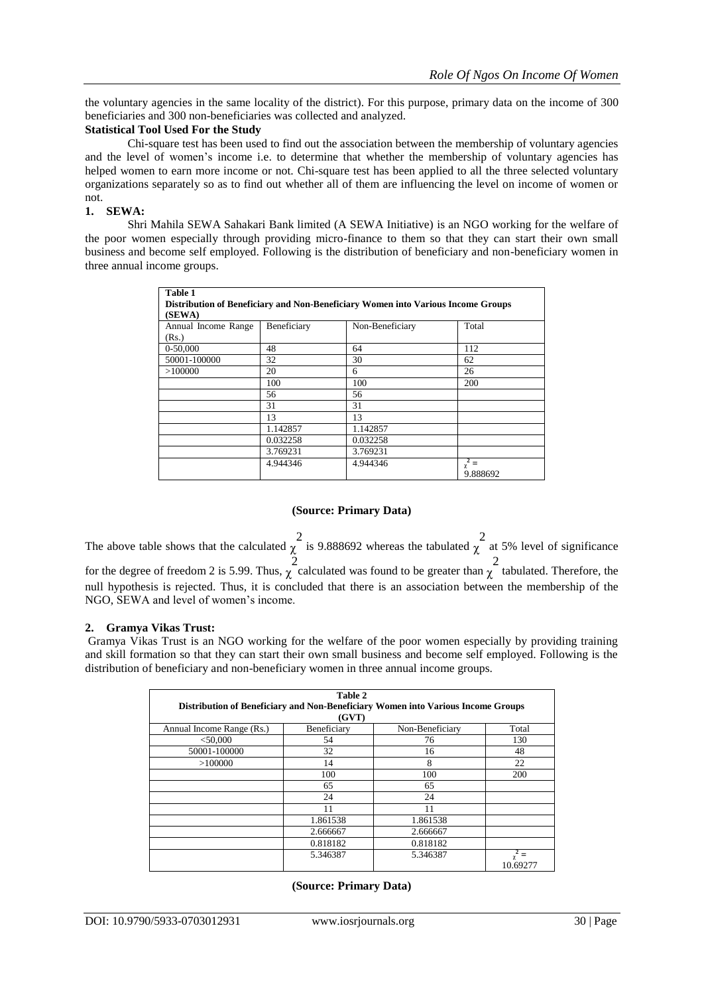the voluntary agencies in the same locality of the district). For this purpose, primary data on the income of 300 beneficiaries and 300 non-beneficiaries was collected and analyzed.

#### **Statistical Tool Used For the Study**

Chi-square test has been used to find out the association between the membership of voluntary agencies and the level of women's income i.e. to determine that whether the membership of voluntary agencies has helped women to earn more income or not. Chi-square test has been applied to all the three selected voluntary organizations separately so as to find out whether all of them are influencing the level on income of women or not.

### **1. SEWA:**

Shri Mahila SEWA Sahakari Bank limited (A SEWA Initiative) is an NGO working for the welfare of the poor women especially through providing micro-finance to them so that they can start their own small business and become self employed. Following is the distribution of beneficiary and non-beneficiary women in three annual income groups.

| Table 1                                                                          |             |                 |                      |  |  |  |
|----------------------------------------------------------------------------------|-------------|-----------------|----------------------|--|--|--|
| Distribution of Beneficiary and Non-Beneficiary Women into Various Income Groups |             |                 |                      |  |  |  |
| (SEWA)                                                                           |             |                 |                      |  |  |  |
| Annual Income Range                                                              | Beneficiary | Non-Beneficiary | Total                |  |  |  |
| (Rs.)                                                                            |             |                 |                      |  |  |  |
| 0-50,000                                                                         | 48          | 64              | 112                  |  |  |  |
| 50001-100000                                                                     | 32          | 30              | 62                   |  |  |  |
| >100000                                                                          | 20          | 6               | 26                   |  |  |  |
|                                                                                  | 100         | 100             | 200                  |  |  |  |
|                                                                                  | 56          | 56              |                      |  |  |  |
|                                                                                  | 31          | 31              |                      |  |  |  |
|                                                                                  | 13          | 13              |                      |  |  |  |
|                                                                                  | 1.142857    | 1.142857        |                      |  |  |  |
|                                                                                  | 0.032258    | 0.032258        |                      |  |  |  |
|                                                                                  | 3.769231    | 3.769231        |                      |  |  |  |
|                                                                                  | 4.944346    | 4.944346        | $=$<br>χ<br>9.888692 |  |  |  |

#### **(Source: Primary Data)**

The above table shows that the calculated  $\chi^2$  is 9.888692 whereas the tabulated  $\chi^2$  at 5% level of significance for the degree of freedom 2 is 5.99. Thus,  $\chi^2$  calculated was found to be greater than  $\chi^2$  tabulated. Therefore, the null hypothesis is rejected. Thus, it is concluded that there is an association between the membership of the NGO, SEWA and level of women's income.

#### **2. Gramya Vikas Trust:**

Gramya Vikas Trust is an NGO working for the welfare of the poor women especially by providing training and skill formation so that they can start their own small business and become self employed. Following is the distribution of beneficiary and non-beneficiary women in three annual income groups.

|                                                                                           | Table 2     |                 |          |  |  |
|-------------------------------------------------------------------------------------------|-------------|-----------------|----------|--|--|
| Distribution of Beneficiary and Non-Beneficiary Women into Various Income Groups<br>(GVT) |             |                 |          |  |  |
| Annual Income Range (Rs.)                                                                 | Beneficiary | Non-Beneficiary | Total    |  |  |
| $<$ 50,000                                                                                | 54          | 76              | 130      |  |  |
| 50001-100000                                                                              | 32          | 16              | 48       |  |  |
| >100000                                                                                   | 14          | 8               | 22       |  |  |
|                                                                                           | 100         | 100             | 200      |  |  |
|                                                                                           | 65          | 65              |          |  |  |
|                                                                                           | 24          | 24              |          |  |  |
|                                                                                           | 11          | 11              |          |  |  |
|                                                                                           | 1.861538    | 1.861538        |          |  |  |
|                                                                                           | 2.666667    | 2.666667        |          |  |  |
|                                                                                           | 0.818182    | 0.818182        |          |  |  |
|                                                                                           | 5.346387    | 5.346387        | 10.69277 |  |  |

#### **(Source: Primary Data)**